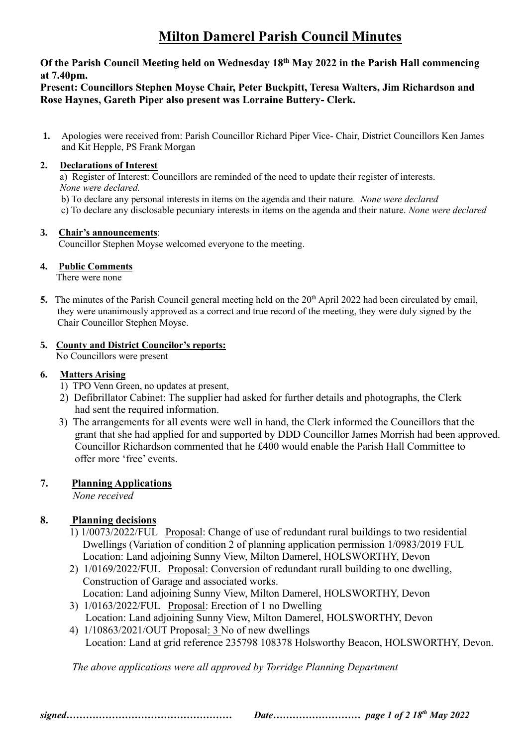# **Milton Damerel Parish Council Minutes**

## **Of the Parish Council Meeting held on Wednesday 18th May 2022 in the Parish Hall commencing at 7.40pm.**

# **Present: Councillors Stephen Moyse Chair, Peter Buckpitt, Teresa Walters, Jim Richardson and Rose Haynes, Gareth Piper also present was Lorraine Buttery- Clerk.**

**1.** Apologies were received from: Parish Councillor Richard Piper Vice- Chair, District Councillors Ken James and Kit Hepple, PS Frank Morgan

## **2. Declarations of Interest**

 a) Register of Interest: Councillors are reminded of the need to update their register of interests. *None were declared.*

b) To declare any personal interests in items on the agenda and their nature*. None were declared*

c) To declare any disclosable pecuniary interests in items on the agenda and their nature. *None were declared*

#### **3. Chair's announcements**:

Councillor Stephen Moyse welcomed everyone to the meeting.

#### **4. Public Comments**

There were none

5. The minutes of the Parish Council general meeting held on the 20<sup>th</sup> April 2022 had been circulated by email, they were unanimously approved as a correct and true record of the meeting, they were duly signed by the Chair Councillor Stephen Moyse.

# **5. County and District Councilor's reports:**

No Councillors were present

## **6. Matters Arising**

- 1) TPO Venn Green, no updates at present,
- 2) Defibrillator Cabinet: The supplier had asked for further details and photographs, the Clerk had sent the required information.
- 3) The arrangements for all events were well in hand, the Clerk informed the Councillors that the grant that she had applied for and supported by DDD Councillor James Morrish had been approved. Councillor Richardson commented that he £400 would enable the Parish Hall Committee to offer more 'free' events.

# **7. Planning Applications**

*None received*

# **8.****Planning decisions**

- 1) 1/0073/2022/FUL Proposal: Change of use of redundant rural buildings to two residential Dwellings (Variation of condition 2 of planning application permission 1/0983/2019 FUL Location: Land adjoining Sunny View, Milton Damerel, HOLSWORTHY, Devon
- 2) 1/0169/2022/FUL Proposal: Conversion of redundant rurall building to one dwelling, Construction of Garage and associated works. Location: Land adjoining Sunny View, Milton Damerel, HOLSWORTHY, Devon
- 3) 1/0163/2022/FUL Proposal: Erection of 1 no Dwelling Location: Land adjoining Sunny View, Milton Damerel, HOLSWORTHY, Devon
- 4) 1/10863/2021/OUT Proposal: 3 No of new dwellings Location: Land at grid reference 235798 108378 Holsworthy Beacon, HOLSWORTHY, Devon.

 *The above applications were all approved by Torridge Planning Department*

*signed…………………………………………… Date……………………… page 1 of 2 18th May 2022*